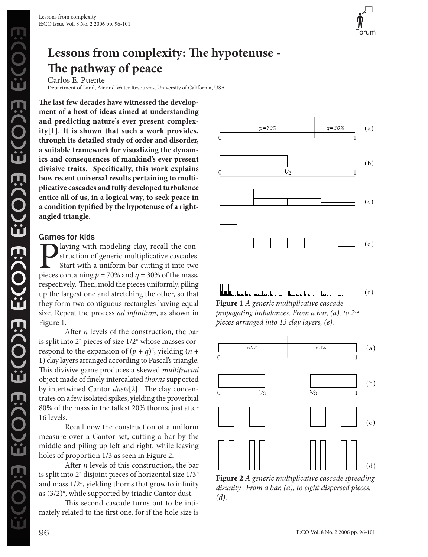

# **Lessons from complexity: The hypotenuse - The pathway of peace**

Carlos E. Puente Department of Land, Air and Water Resources, University of California, USA

**The last few decades have witnessed the development of a host of ideas aimed at understanding and predicting nature's ever present complexity[1]. It is shown that such a work provides, through its detailed study of order and disorder, a suitable framework for visualizing the dynamics and consequences of mankind's ever present divisive traits. Specifically, this work explains how recent universal results pertaining to multiplicative cascades and fully developed turbulence entice all of us, in a logical way, to seek peace in a condition typified by the hypotenuse of a rightangled triangle.**

# Games for kids

**P** laying with modeling clay, recall the construction of generic multiplicative cascades.<br>
Start with a uniform bar cutting it into two pieces containing  $p = 70\%$  and  $q = 30\%$  of the mass, struction of generic multiplicative cascades. Start with a uniform bar cutting it into two respectively. Then, mold the pieces uniformly, piling up the largest one and stretching the other, so that they form two contiguous rectangles having equal size. Repeat the process *ad infinitum*, as shown in Figure 1.

After *n* levels of the construction, the bar is split into 2<sup>n</sup> pieces of size 1/2<sup>n</sup> whose masses correspond to the expansion of  $(p + q)^n$ , yielding  $(n +$ 1) clay layers arranged according to Pascal's triangle. This divisive game produces a skewed *multifractal* object made of finely intercalated *thorns* supported by intertwined Cantor *dusts*[2]. The clay concentrates on a few isolated spikes, yielding the proverbial 80% of the mass in the tallest 20% thorns, just after 16 levels.

Recall now the construction of a uniform measure over a Cantor set, cutting a bar by the middle and piling up left and right, while leaving holes of proportion 1/3 as seen in Figure 2.

After *n* levels of this construction, the bar is split into 2*<sup>n</sup>* disjoint pieces of horizontal size 1/3*<sup>n</sup>* and mass 1/2*<sup>n</sup>* , yielding thorns that grow to infinity as (3/2)*<sup>n</sup>* , while supported by triadic Cantor dust.

This second cascade turns out to be intimately related to the first one, for if the hole size is



**Figure 1** *A generic multiplicative cascade propagating imbalances. From a bar, (a), to 212 pieces arranged into 13 clay layers, (e).*



**Figure 2** *A generic multiplicative cascade spreading disunity. From a bar, (a), to eight dispersed pieces, (d).*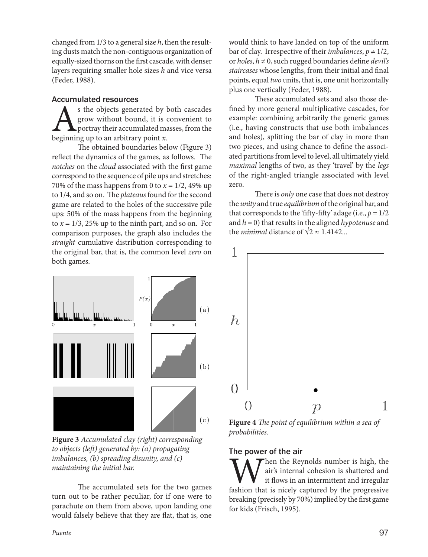changed from 1/3 to a general size *h*, then the resulting dusts match the non-contiguous organization of equally-sized thorns on the first cascade, with denser layers requiring smaller hole sizes *h* and vice versa (Feder, 1988).

## Accumulated resources

 $\sum$  is the objects generated by both cascades<br>grow without bound, it is convenient to<br>beginning up to an arbitrary point x. grow without bound, it is convenient to portray their accumulated masses, from the beginning up to an arbitrary point *x*.

The obtained boundaries below (Figure 3) reflect the dynamics of the games, as follows. The *notches* on the *cloud* associated with the first game correspond to the sequence of pile ups and stretches: 70% of the mass happens from 0 to  $x = 1/2$ , 49% up to 1/4, and so on. The *plateaus* found for the second game are related to the holes of the successive pile ups: 50% of the mass happens from the beginning to  $x = 1/3$ , 25% up to the ninth part, and so on. For comparison purposes, the graph also includes the *straight* cumulative distribution corresponding to the original bar, that is, the common level *zero* on both games.



**Figure 3** *Accumulated clay (right) corresponding to objects (left) generated by: (a) propagating imbalances, (b) spreading disunity, and (c) maintaining the initial bar.*

The accumulated sets for the two games turn out to be rather peculiar, for if one were to parachute on them from above, upon landing one would falsely believe that they are flat, that is, one

would think to have landed on top of the uniform bar of clay. Irrespective of their *imbalances*,  $p \neq 1/2$ , or *holes*, *h* ≠ 0, such rugged boundaries define *devil's staircases* whose lengths, from their initial and final points, equal *two* units, that is, one unit horizontally plus one vertically (Feder, 1988).

These accumulated sets and also those defined by more general multiplicative cascades, for example: combining arbitrarily the generic games (i.e., having constructs that use both imbalances and holes), splitting the bar of clay in more than two pieces, and using chance to define the associated partitions from level to level, all ultimately yield *maximal* lengths of two, as they 'travel' by the *legs* of the right-angled triangle associated with level zero.

There is *only* one case that does not destroy the *unity* and true *equilibrium* of the original bar, and that corresponds to the 'fifty-fifty' adage (i.e.,  $p = 1/2$ and *h* = 0) that results in the aligned *hypotenuse* and the *minimal* distance of  $\sqrt{2} \approx 1.4142...$ 



**Figure 4** *The point of equilibrium within a sea of probabilities.*

# The power of the air

When the Reynolds number is high, the air's internal cohesion is shattered and it flows in an intermittent and irregular fashion that is nicely captured by the progressive air's internal cohesion is shattered and it flows in an intermittent and irregular breaking (precisely by 70%) implied by the first game for kids (Frisch, 1995).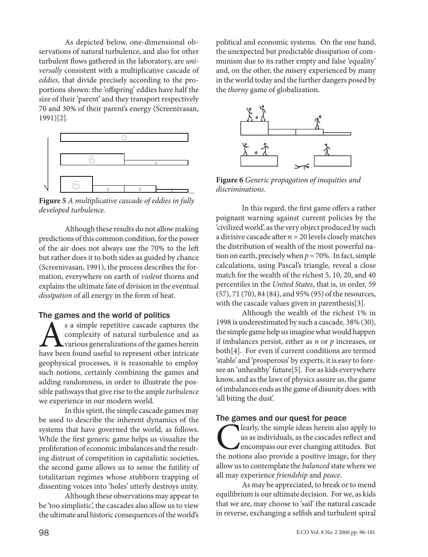As depicted below, one-dimensional observations of natural turbulence, and also for other turbulent flows gathered in the laboratory, are *universally* consistent with a multiplicative cascade of *eddies*, that divide precisely according to the proportions shown: the 'offspring' eddies have half the size of their 'parent' and they transport respectively 70 and 30% of their parent's energy (Screenivasan, 1991)[2].



**Figure 5** *A multiplicative cascade of eddies in fully developed turbulence.*

Although these results do not allow making predictions of this common condition, for the power of the air does not always use the 70% to the left but rather does it to both sides as guided by chance (Screenivasan, 1991), the process describes the formation, everywhere on earth of *violent* thorns and explains the ultimate fate of division in the eventual *dissipation* of all energy in the form of heat.

#### The games and the world of politics

s a simple repetitive cascade captures the<br>complexity of natural turbulence and as<br>have been found useful to represent other intricate complexity of natural turbulence and as various generalizations of the games herein have been found useful to represent other intricate geophysical processes, it is reasonable to employ such notions, certainly combining the games and adding randomness, in order to illustrate the possible pathways that give rise to the ample *turbulence* we experience in our modern world.

In this spirit, the simple cascade games may be used to describe the inherent dynamics of the systems that have governed the world, as follows. While the first generic game helps us visualize the proliferation of economic imbalances and the resulting distrust of competition in capitalistic societies, the second game allows us to sense the futility of totalitarian regimes whose stubborn trapping of dissenting voices into 'holes' utterly destroys unity.

Although these observations may appear to be 'too simplistic', the cascades also allow us to view the ultimate and historic consequences of the world's political and economic systems. On the one hand, the unexpected but predictable dissipation of communism due to its rather empty and false 'equality' and, on the other, the misery experienced by many in the world today and the further dangers posed by the *thorny* game of globalization.



**Figure 6** *Generic propagation of inequities and discriminations.*

In this regard, the first game offers a rather poignant warning against current policies by the 'civilized world', as the very object produced by such a divisive cascade after  $n = 20$  levels closely matches the distribution of wealth of the most powerful nation on earth, precisely when  $p = 70\%$ . In fact, simple calculations, using Pascal's triangle, reveal a close match for the wealth of the richest 5, 10, 20, and 40 percentiles in the *United States*, that is, in order, 59 (57), 71 (70), 84 (84), and 95% (95) of the resources, with the cascade values given in parenthesis[3].

Although the wealth of the richest 1% in 1998 is underestimated by such a cascade, 38% (30), the simple game help us imagine what would happen if imbalances persist, either as *n* or *p* increases, or both[4]. For even if current conditions are termed 'stable' and 'prosperous' by experts, it is easy to foresee an 'unhealthy' future[5]. For as kids everywhere know, and as the laws of physics assure us, the game of imbalances ends as the game of disunity does: with 'all biting the dust'.

# The games and our quest for peace

**C** learly, the simple ideas herein also apply to us as individuals, as the cascades reflect and encompass our ever changing attitudes. But the notions also provide a positive image, for they us as individuals, as the cascades reflect and encompass our ever changing attitudes. But allow us to contemplate the *balanced* state where we all may experience *friendship* and *peace*.

As may be appreciated, to break or to mend equilibrium is our ultimate decision. For we, as kids that we are, may choose to 'sail' the natural cascade in reverse, exchanging a selfish and turbulent spiral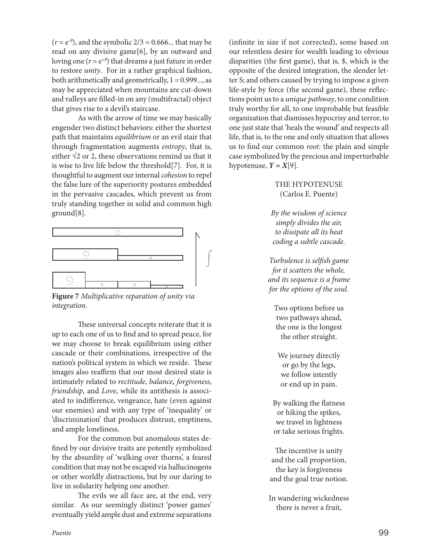$(r = e^{-\theta})$ , and the symbolic  $2/3 = 0.666...$  that may be read on any divisive game[6], by an outward and loving one ( $r = e^{+\theta}$ ) that dreams a just future in order to restore *unity*. For in a rather graphical fashion, both arithmetically and geometrically,  $1 = 0.999...$ , as may be appreciated when mountains are cut-down and valleys are filled-in on any (multifractal) object that gives rise to a devil's staircase.

As with the arrow of time we may basically engender two distinct behaviors: either the shortest path that maintains *equilibrium* or an evil stair that through fragmentation augments *entropy*, that is, either  $\sqrt{2}$  or 2, these observations remind us that it is wise to live life below the threshold[7]. For, it is thoughtful to augment our internal *cohesion* to repel the false lure of the superiority postures embedded in the pervasive cascades, which prevent us from truly standing together in solid and common high ground[8].



**Figure 7** *Multiplicative reparation of unity via integration.*

These universal concepts reiterate that it is up to each one of us to find and to spread peace, for we may choose to break equilibrium using either cascade or their combinations, irrespective of the nation's political system in which we reside. These images also reaffirm that our most desired state is intimately related to *rectitude*, *balance*, *forgiveness*, *friendship*, and *Love*, while its antithesis is associated to indifference, vengeance, hate (even against our enemies) and with any type of 'inequality' or 'discrimination' that produces distrust, emptiness, and ample loneliness.

For the common but anomalous states defined by our divisive traits are potently symbolized by the absurdity of 'walking over thorns', a feared condition that may not be escaped via hallucinogens or other worldly distractions, but by our daring to live in solidarity helping one another.

The evils we all face are, at the end, very similar. As our seemingly distinct 'power games' eventually yield ample dust and extreme separations

(infinite in size if not corrected), some based on our relentless desire for wealth leading to obvious disparities (the first game), that is, \$, which is the opposite of the desired integration, the slender letter S; and others caused by trying to impose a given life-style by force (the second game), these reflections point us to a *unique pathway*, to one condition truly worthy for all, to one improbable but feasible organization that dismisses hypocrisy and terror, to one just state that 'heals the wound' and respects all life, that is, to the one and only situation that allows us to find our common *root:* the plain and simple case symbolized by the precious and imperturbable hypotenuse,  $Y = X[9]$ .

## THE HYPOTENUSE (Carlos E. Puente)

*By the wisdom of science simply divides the air, to dissipate all its heat coding a subtle cascade.*

*Turbulence is selfish game for it scatters the whole, and its sequence is a frame for the options of the soul.*

Two options before us two pathways ahead, the one is the longest the other straight.

We journey directly or go by the legs, we follow intently or end up in pain.

By walking the flatness or hiking the spikes, we travel in lightness or take serious frights.

The incentive is unity and the call proportion, the key is forgiveness and the goal true notion.

In wandering wickedness there is never a fruit,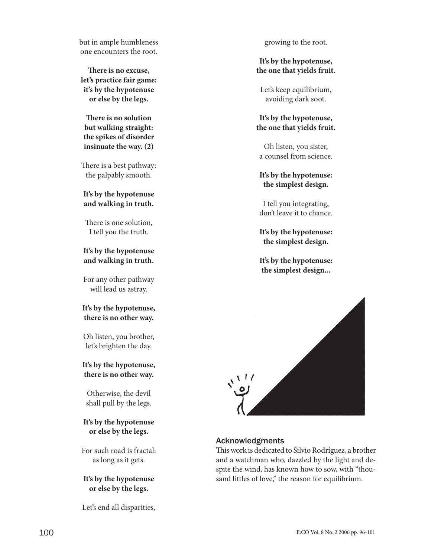but in ample humbleness one encounters the root.

**There is no excuse, let's practice fair game: it's by the hypotenuse or else by the legs.**

**There is no solution but walking straight: the spikes of disorder insinuate the way. (2)**

There is a best pathway: the palpably smooth.

## **It's by the hypotenuse and walking in truth.**

There is one solution, I tell you the truth.

## **It's by the hypotenuse and walking in truth.**

For any other pathway will lead us astray.

#### **It's by the hypotenuse, there is no other way.**

Oh listen, you brother, let's brighten the day.

## **It's by the hypotenuse, there is no other way.**

Otherwise, the devil shall pull by the legs.

## **It's by the hypotenuse or else by the legs.**

For such road is fractal: as long as it gets.

#### **It's by the hypotenuse or else by the legs.**

Let's end all disparities,

growing to the root.

## **It's by the hypotenuse, the one that yields fruit.**

Let's keep equilibrium, avoiding dark soot.

## **It's by the hypotenuse, the one that yields fruit.**

Oh listen, you sister, a counsel from science.

# **It's by the hypotenuse: the simplest design.**

I tell you integrating, don't leave it to chance.

**It's by the hypotenuse: the simplest design.**

**It's by the hypotenuse: the simplest design...**



# Acknowledgments

This work is dedicated to Silvio Rodríguez, a brother and a watchman who, dazzled by the light and despite the wind, has known how to sow, with "thousand littles of love," the reason for equilibrium.